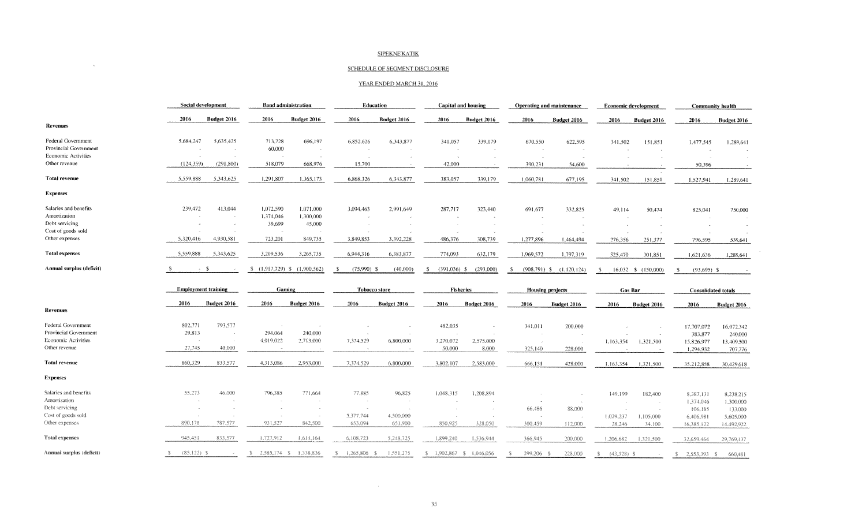## SIPEKNEKATIK

## SCHEDULE OF SEGMENT DISCLOSURE

 $\mathcal{L}^{\mathcal{L}}(\mathcal{L}^{\mathcal{L}})$  and  $\mathcal{L}^{\mathcal{L}}(\mathcal{L}^{\mathcal{L}})$  . In the contract of  $\mathcal{L}^{\mathcal{L}}$ 

## YEAR ENDED MARCH 31, 2016

|                            | Social development         |             | <b>Band administration</b> |             | <b>Education</b>     |             | Capital and housing    |             | Operating and maintenance |             | Economic development |                     | Community health           |             |
|----------------------------|----------------------------|-------------|----------------------------|-------------|----------------------|-------------|------------------------|-------------|---------------------------|-------------|----------------------|---------------------|----------------------------|-------------|
|                            | 2016                       | Budget 2016 | 2016                       | Budget 2016 | 2016                 | Budget 2016 | 2016                   | Budget 2016 | 2016                      | Budget 2016 | 2016                 | Budget 2016         | 2016                       | Budget 2016 |
| <b>Revenues</b>            |                            |             |                            |             |                      |             |                        |             |                           |             |                      |                     |                            |             |
| Federal Government         | 5,684,247                  | 5,635,425   | 713,728                    | 696,197     | 6,852,626            | 6,343,877   | 341,057                | 339,179     | 670,550                   | 622,595     | 341,502              | 151,851             | 1.477.545                  | 1,289,641   |
| Provincial Government      |                            |             | 60,000                     |             |                      |             |                        |             |                           |             |                      |                     |                            |             |
| <b>Economic Activities</b> |                            |             |                            |             |                      |             |                        |             |                           |             |                      |                     |                            |             |
| Other revenue              | (124,359)                  | (291, 800)  | 518,079                    | 668,976     | 15,700               |             | 42,000                 |             | 390,231                   | 54,600      |                      |                     | 50.396                     | $\sim$      |
| <b>Total revenue</b>       | 5,559,888                  | 5.343.625   | 1,291,807                  | 1,365,173   | 6,868,326            | 6,343,877   | 383,057                | 339,179     | 1,060,781                 | 677,195     | 341,502              | 151,851             | 1,527,941                  | 1,289,641   |
| <b>Expenses</b>            |                            |             |                            |             |                      |             |                        |             |                           |             |                      |                     |                            |             |
| Salaries and benefits      | 239,472                    | 413,044     | 1,072,590                  | 1,071,000   | 3,094,463            | 2,991,649   | 287,717                | 323,440     | 691,677                   | 332,825     | 49,114               | 50,474              | 825,041                    | 750,000     |
| Amortization               |                            |             | 1,374,046                  | 1,300,000   |                      |             |                        |             |                           |             |                      |                     |                            |             |
| Debt servicing             |                            |             | 39,699                     | 45,000      |                      |             | $\sim$                 |             |                           |             |                      |                     |                            |             |
| Cost of goods sold         |                            |             |                            |             |                      |             |                        |             |                           |             |                      |                     |                            |             |
| Other expenses             | 5.320,416                  | 4,930,581   | 723,201                    | 849,735     | 3.849,853            | 3,392,228   | 486.376                | 308,739     | 1,277,896                 | 1,464,494   | 276,356              | 251,377             | 796,595                    | 539,641     |
| <b>Total expenses</b>      | 5.559,888                  | 5,343,625   | 3,209,536                  | 3,265,735   | 6,944,316            | 6,383,877   | 774,093                | 632,179     | 1.969,572                 | 1,797,319   | 325,470              | 301,851             | 1,621,636                  | 1,289,641   |
| Annual surplus (deficit)   |                            | - \$        | $$(1,917,729)$ \$          | (1,900,562) | $(75,990)$ \$<br>-S  | (40,000)    | - \$<br>$(391,036)$ \$ | (293,000)   | $(908, 791)$ \$<br>- 5    | (1,120,124) | -S                   | 16,032 \$ (150,000) | $(93,695)$ \$<br>S.        |             |
|                            | <b>Employment training</b> |             | Gaming                     |             | <b>Tobacco store</b> |             | <b>Fisheries</b>       |             | <b>Housing projects</b>   |             | Gas Bar              |                     | <b>Consolidated totals</b> |             |
|                            |                            |             |                            |             |                      |             |                        |             |                           |             |                      |                     | 2016                       | Budget 2016 |
|                            | 2016                       | Budget 2016 | 2016                       | Budget 2016 | 2016                 | Budget 2016 | 2016                   | Budget 2016 | 2016                      | Budget 2016 | 2016                 | Budget 2016         |                            |             |
| <b>Revenues</b>            |                            |             |                            |             |                      |             |                        |             |                           |             |                      |                     |                            |             |
| Federal Government         | 802.771                    | 793,577     |                            |             |                      |             | 482,035                |             | 341,011                   | 200,000     |                      |                     | 17,707,072                 | 16,072,342  |
| Provincial Government      | 29,813                     |             | 294,064                    | 240,000     |                      |             |                        |             | $\sim$                    |             |                      |                     | 383,877                    | 240,000     |
| Economic Activities        |                            |             | 4,019,022                  | 2,713,000   | 7,374,529            | 6,800,000   | 3,270,072              | 2,575,000   |                           |             | 1,163,354            | 1,321,500           | 15,826,977                 | 13,409,500  |
| Other revenue              | 27,745                     | 40,000      |                            |             |                      |             | 50,000                 | 8,000       | 325,140                   | 228,000     |                      |                     | 1,294,932                  | 707,776     |
| <b>Total revenue</b>       | 860,329                    | 833,577     | 4.313.086                  | 2,953,000   | 7,374,529            | 6,800,000   | 3,802,107              | 2,583,000   | 666,151                   | 428,000     | 1,163,354            | 1,321,500           | 35.212,858                 | 30,429,618  |
| <b>Expenses</b>            |                            |             |                            |             |                      |             |                        |             |                           |             |                      |                     |                            |             |
| Salaries and benefits      | 55.273                     | 46,000      | 796,385                    | 771,664     | 77,885               | 96,825      | 1.048.315              | 1,208,894   |                           |             | 149,199              | 182,400             | 8.387.131                  | 8,238,215   |
| Amortization               |                            |             |                            |             |                      |             |                        |             |                           |             |                      |                     | 1,374,046                  | 1,300,000   |
| Debt servicing             |                            |             |                            |             |                      |             |                        |             | 66,486                    | 88,000      |                      |                     | 106,185                    | 133,000     |
| Cost of goods sold         |                            |             |                            |             | 5,377,744            | 4,500,000   |                        |             |                           |             | 1.029.237            | 1,105,000           | 6,406,981                  | 5,605,000   |
| Other expenses             | 890,178                    | 787.577     | 931,527                    | 842,500     | 653,094              | 651,900     | 850,925                | 328,050     | 300,459                   | 112,000     | 28,246               | 34,100              | 16,385,122                 | 14.492,922  |
| Total expenses             | 945,451                    | 833,577     | 1,727,912                  | 1,614,164   | 6,108,723            | 5,248.725   | 1,899,240              | 1.536,944   | 366,945                   | 200,000     | 1,206,682            | 1.321,500           | 32,659,464                 | 29,769,137  |

 $\label{eq:2.1} \mathcal{L}(\mathcal{L}) = \mathcal{L}(\mathcal{L}) \mathcal{L}(\mathcal{L}) = \mathcal{L}(\mathcal{L}) \mathcal{L}(\mathcal{L})$